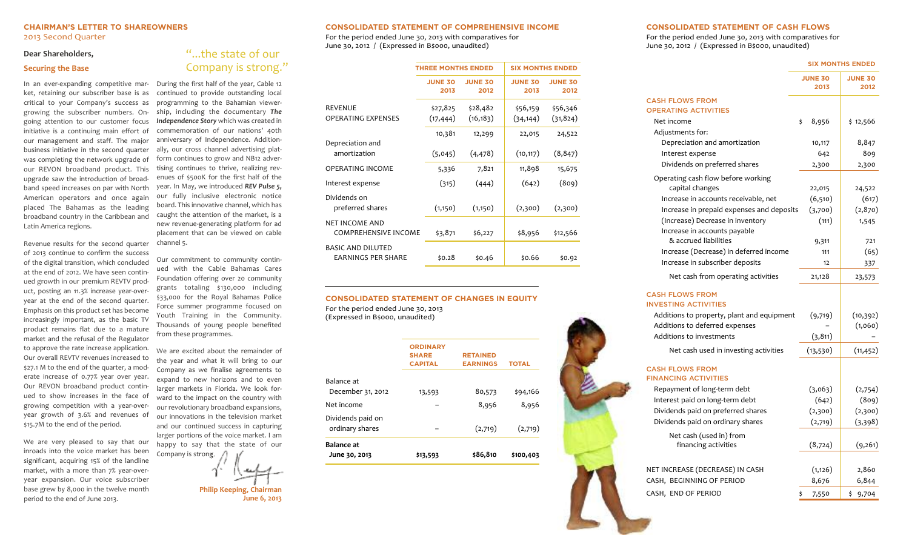## **CHAIRMAN'S LETTER TO SHAREOWNERS** 2013 Second Quarter

#### **Dear Shareholders,**

#### **Securing the Base**

In an ever-expanding competitive market, retaining our subscriber base is as critical to your Company's success as growing the subscriber numbers. Ongoing attention to our customer focus initiative is a continuing main effort of our management and staff. The major business initiative in the second quarter was completing the network upgrade of our REVON broadband product. This upgrade saw the introduction of broadband speed increases on par with North American operators and once again placed The Bahamas as the leading broadband country in the Caribbean and Latin America regions.

Revenue results for the second quarter of 2013 continue to confirm the success of the digital transition, which concluded at the end of 2012. We have seen continued growth in our premium REVTV product, posting an 11.3% increase year-overyear at the end of the second quarter. Emphasis on this product set has become increasingly important, as the basic TV product remains flat due to a mature market and the refusal of the Regulator to approve the rate increase application. Our overall REVTV revenues increased to \$27.1 M to the end of the quarter, a moderate increase of 0.77% year over year. Our REVON broadband product continued to show increases in the face of growing competition with a year-overyear growth of 3.6% and revenues of \$15.7M to the end of the period.

We are very pleased to say that our inroads into the voice market has been significant, acquiring 15% of the landline market, with a more than 7% year-overyear expansion. Our voice subscriber base grew by 8,000 in the twelve month period to the end of June 2013.

# "...the state of our **Company is strong."**

During the first half of the year, Cable 12 continued to provide outstanding local programming to the Bahamian viewership, including the documentary *The Independence Story* which was created in commemoration of our nations' 40th anniversary of Independence. Additionally, our cross channel advertising platform continues to grow and NB12 advertising continues to thrive, realizing revenues of \$500K for the first half of the year. In May, we introduced *REV Pulse 5,* our fully inclusive electronic notice board. This innovative channel, which has caught the attention of the market, is a new revenue-generating platform for ad placement that can be viewed on cable channel 5.

Our commitment to community continued with the Cable Bahamas Cares Foundation offering over 20 community grants totaling \$130,000 including \$33,000 for the Royal Bahamas Police Force summer programme focused on Youth Training in the Community. Thousands of young people benefited from these programmes.

We are excited about the remainder of the year and what it will bring to our Company as we finalise agreements to expand to new horizons and to even larger markets in Florida. We look forward to the impact on the country with our revolutionary broadband expansions, our innovations in the television market and our continued success in capturing larger portions of the voice market. I am happy to say that the state of our Company is strong.

**Philip Keeping, Chairman June 6, 2013**

#### **CONSOLIDATED STATEMENT OF COMPREHENSIVE INCOME**

For the period ended June 30, 2013 with comparatives for June 30, 2012 / (Expressed in B\$000, unaudited)

|                                                | <b>THREE MONTHS ENDED</b> |                        | <b>SIX MONTHS ENDED</b> |                        |
|------------------------------------------------|---------------------------|------------------------|-------------------------|------------------------|
|                                                | <b>JUNE 30</b><br>2013    | <b>JUNE 30</b><br>2012 | <b>JUNE 30</b><br>2013  | <b>JUNE 30</b><br>2012 |
| <b>REVENUE</b><br><b>OPERATING EXPENSES</b>    | \$27,825<br>(17, 444)     | \$28,482<br>(16, 183)  | \$56,159<br>(34, 144)   | \$56,346<br>(31, 824)  |
| Depreciation and                               | 10,381                    | 12,299                 | 22,015                  | 24,522                 |
| amortization                                   | (5,045)                   | (4, 478)               | (10, 117)               | (8, 847)               |
| <b>OPERATING INCOME</b>                        | 5,336                     | 7,821                  | 11,898                  | 15,675                 |
| Interest expense                               | (315)                     | (444)                  | (642)                   | (809)                  |
| Dividends on<br>preferred shares               | (1,150)                   | (1,150)                | (2,300)                 | (2,300)                |
| NET INCOME AND<br><b>COMPREHENSIVE INCOME</b>  | \$3,871                   | \$6,227                | \$8,956                 | \$12,566               |
| BASIC AND DILUTED<br><b>FARNINGS PFR SHARF</b> | \$0.28                    | \$0.46                 | \$0.66                  | \$0.92                 |

## **CONSOLIDATED STATEMENT OF CHANGES IN EQUITY**

For the period ended June 30, 2013 (Expressed in B\$000, unaudited)

|                                      | <b>ORDINARY</b><br><b>SHARE</b> | <b>RETAINED</b> |              |
|--------------------------------------|---------------------------------|-----------------|--------------|
|                                      | <b>CAPITAL</b>                  | <b>EARNINGS</b> | <b>TOTAL</b> |
| Balance at                           |                                 |                 |              |
| December 31, 2012                    | 13,593                          | 80,573          | \$94,166     |
| Net income                           |                                 | 8,956           | 8,956        |
| Dividends paid on<br>ordinary shares |                                 | (2,719)         | (2,719)      |
| <b>Balance at</b>                    |                                 |                 |              |
| June 30, 2013                        | \$13,593                        | \$86,810        | \$100,403    |

#### **CONSOLIDATED STATEMENT OF CASH FLOWS**

For the period ended June 30, 2013 with comparatives for June 30, 2012 / (Expressed in B\$000, unaudited)

|                                                       | <b>SIX MONTHS ENDED</b> |                        |                        |
|-------------------------------------------------------|-------------------------|------------------------|------------------------|
|                                                       |                         | <b>JUNE 30</b><br>2013 | <b>JUNE 30</b><br>2012 |
| <b>CASH FLOWS FROM</b><br><b>OPERATING ACTIVITIES</b> |                         |                        |                        |
| Net income                                            | \$                      | 8,956                  | \$12,566               |
| Adjustments for:                                      |                         |                        |                        |
| Depreciation and amortization                         |                         | 10,117                 | 8,847                  |
| Interest expense                                      |                         | 642                    | 809                    |
| Dividends on preferred shares                         |                         | 2,300                  | 2,300                  |
| Operating cash flow before working<br>capital changes |                         | 22,015                 | 24,522                 |
| Increase in accounts receivable, net                  |                         | (6,510)                | (617)                  |
| Increase in prepaid expenses and deposits             |                         | (3,700)                | (2,870)                |
| (Increase) Decrease in inventory                      |                         | (111)                  | 1,545                  |
| Increase in accounts payable                          |                         |                        |                        |
| & accrued liabilities                                 |                         | 9,311                  | 721                    |
| Increase (Decrease) in deferred income                |                         | 111                    | (65)                   |
| Increase in subscriber deposits                       |                         | 12                     | 337                    |
| Net cash from operating activities                    |                         | 21,128                 | 23,573                 |
| <b>CASH FLOWS FROM</b><br><b>INVESTING ACTIVITIES</b> |                         |                        |                        |
| Additions to property, plant and equipment            |                         | (9,719)                | (10, 392)              |
| Additions to deferred expenses                        |                         |                        | (1,060)                |
| Additions to investments                              |                         | (3, 811)               |                        |
| Net cash used in investing activities                 |                         | (13, 530)              | (11, 452)              |
| <b>CASH FLOWS FROM</b><br><b>FINANCING ACTIVITIES</b> |                         |                        |                        |
| Repayment of long-term debt                           |                         | (3,063)                | (2,754)                |
| Interest paid on long-term debt                       |                         | (642)                  | (809)                  |
| Dividends paid on preferred shares                    |                         | (2,300)                | (2,300)                |
| Dividends paid on ordinary shares                     |                         | (2,719)                | (3,398)                |
| Net cash (used in) from<br>financing activities       |                         | (8, 724)               | (9,261)                |
|                                                       |                         |                        |                        |

NET INCREASE (DECREASE) IN CASH (1,126) 2,860 CASH, BEGINNING OF PERIOD 8,676 6,844 CASH, END OF PERIOD  $\frac{1}{5}$  7,550  $\frac{1}{5}$  9,704